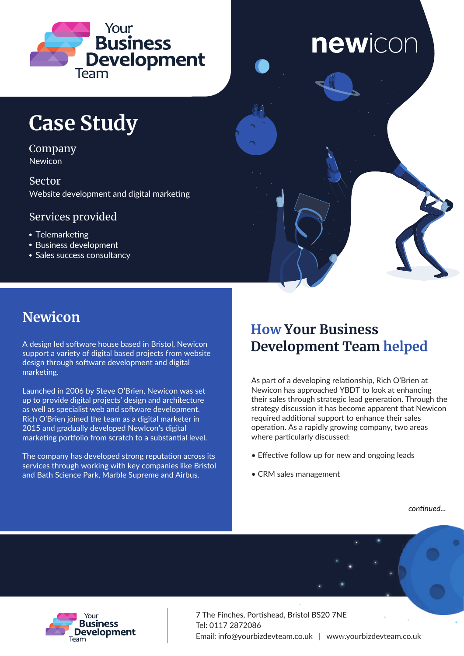

# newicon

### **Case Study**

Company Newicon

Sector Website development and digital marketing

### Services provided

- Telemarketing
- Business development
- Sales success consultancy



A design led software house based in Bristol, Newicon support a variety of digital based projects from website design through software development and digital marketing.

Launched in 2006 by Steve O'Brien, Newicon was set up to provide digital projects' design and architecture as well as specialist web and software development. Rich O'Brien joined the team as a digital marketer in 2015 and gradually developed NewIcon's digital marketing portfolio from scratch to a substantial level.

The company has developed strong reputation across its services through working with key companies like Bristol and Bath Science Park, Marble Supreme and Airbus.

### **How Your Business Development Team helped**

As part of a developing relationship, Rich O'Brien at Newicon has approached YBDT to look at enhancing their sales through strategic lead generation. Through the strategy discussion it has become apparent that Newicon required additional support to enhance their sales operation. As a rapidly growing company, two areas where particularly discussed:

- Effective follow up for new and ongoing leads
- CRM sales management

continued...



7 The Finches, Portishead, Bristol BS20 7NE Tel: 0117 2872086 Email: info@yourbizdevteam.co.uk | www.yourbizdevteam.co.uk